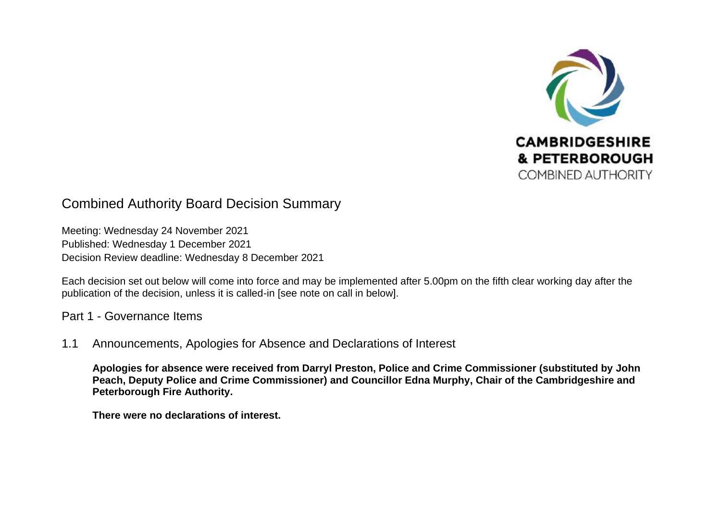

# Combined Authority Board Decision Summary

Meeting: Wednesday 24 November 2021 Published: Wednesday 1 December 2021 Decision Review deadline: Wednesday 8 December 2021

Each decision set out below will come into force and may be implemented after 5.00pm on the fifth clear working day after the publication of the decision, unless it is called-in [see note on call in below].

Part 1 - Governance Items

1.1 Announcements, Apologies for Absence and Declarations of Interest

**Apologies for absence were received from Darryl Preston, Police and Crime Commissioner (substituted by John Peach, Deputy Police and Crime Commissioner) and Councillor Edna Murphy, Chair of the Cambridgeshire and Peterborough Fire Authority.** 

**There were no declarations of interest.**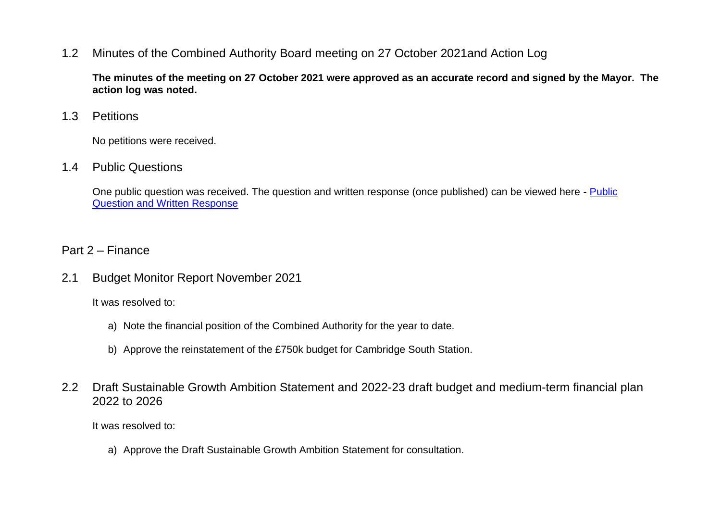### 1.2 Minutes of the Combined Authority Board meeting on 27 October 2021and Action Log

**The minutes of the meeting on 27 October 2021 were approved as an accurate record and signed by the Mayor. The action log was noted.** 

#### 1.3 Petitions

No petitions were received.

#### 1.4 Public Questions

One public question was received. The question and written response (once published) can be viewed here - [Public](https://cambridgeshirepeterboroughcagov.cmis.uk.com/Meetings/tabid/70/ctl/ViewMeetingPublic/mid/397/Meeting/2038/Committee/63/SelectedTab/Documents/Default.aspx)  [Question and Written Response](https://cambridgeshirepeterboroughcagov.cmis.uk.com/Meetings/tabid/70/ctl/ViewMeetingPublic/mid/397/Meeting/2038/Committee/63/SelectedTab/Documents/Default.aspx) 

### Part 2 – Finance

2.1 Budget Monitor Report November 2021

It was resolved to:

- a) Note the financial position of the Combined Authority for the year to date.
- b) Approve the reinstatement of the £750k budget for Cambridge South Station.
- 2.2 Draft Sustainable Growth Ambition Statement and 2022-23 draft budget and medium-term financial plan 2022 to 2026

It was resolved to:

a) Approve the Draft Sustainable Growth Ambition Statement for consultation.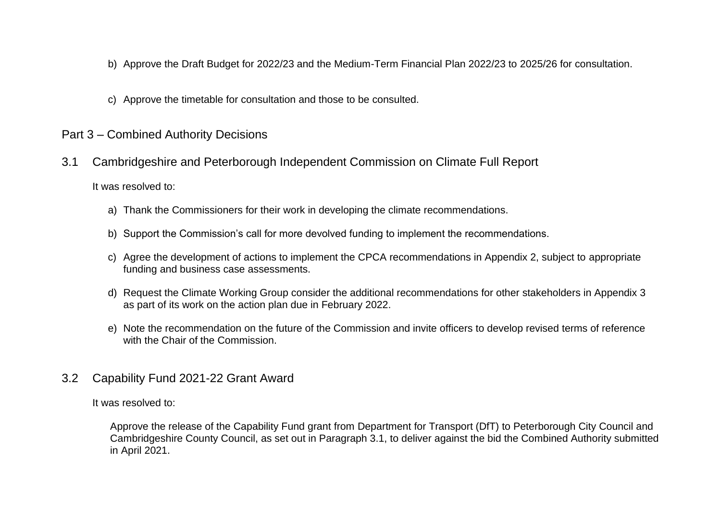- b) Approve the Draft Budget for 2022/23 and the Medium-Term Financial Plan 2022/23 to 2025/26 for consultation.
- c) Approve the timetable for consultation and those to be consulted.

### Part 3 – Combined Authority Decisions

3.1 Cambridgeshire and Peterborough Independent Commission on Climate Full Report

It was resolved to:

- a) Thank the Commissioners for their work in developing the climate recommendations.
- b) Support the Commission's call for more devolved funding to implement the recommendations.
- c) Agree the development of actions to implement the CPCA recommendations in Appendix 2, subject to appropriate funding and business case assessments.
- d) Request the Climate Working Group consider the additional recommendations for other stakeholders in Appendix 3 as part of its work on the action plan due in February 2022.
- e) Note the recommendation on the future of the Commission and invite officers to develop revised terms of reference with the Chair of the Commission
- 3.2 Capability Fund 2021-22 Grant Award

It was resolved to:

Approve the release of the Capability Fund grant from Department for Transport (DfT) to Peterborough City Council and Cambridgeshire County Council, as set out in Paragraph 3.1, to deliver against the bid the Combined Authority submitted in April 2021.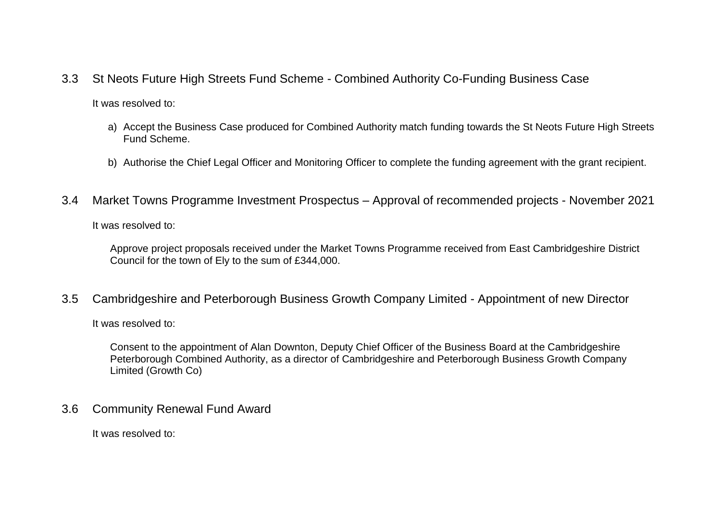3.3 St Neots Future High Streets Fund Scheme - Combined Authority Co-Funding Business Case

It was resolved to:

- a) Accept the Business Case produced for Combined Authority match funding towards the St Neots Future High Streets Fund Scheme.
- b) Authorise the Chief Legal Officer and Monitoring Officer to complete the funding agreement with the grant recipient.
- 3.4 Market Towns Programme Investment Prospectus Approval of recommended projects November 2021

It was resolved to:

Approve project proposals received under the Market Towns Programme received from East Cambridgeshire District Council for the town of Ely to the sum of £344,000.

3.5 Cambridgeshire and Peterborough Business Growth Company Limited - Appointment of new Director

It was resolved to:

Consent to the appointment of Alan Downton, Deputy Chief Officer of the Business Board at the Cambridgeshire Peterborough Combined Authority, as a director of Cambridgeshire and Peterborough Business Growth Company Limited (Growth Co)

3.6 Community Renewal Fund Award

It was resolved to: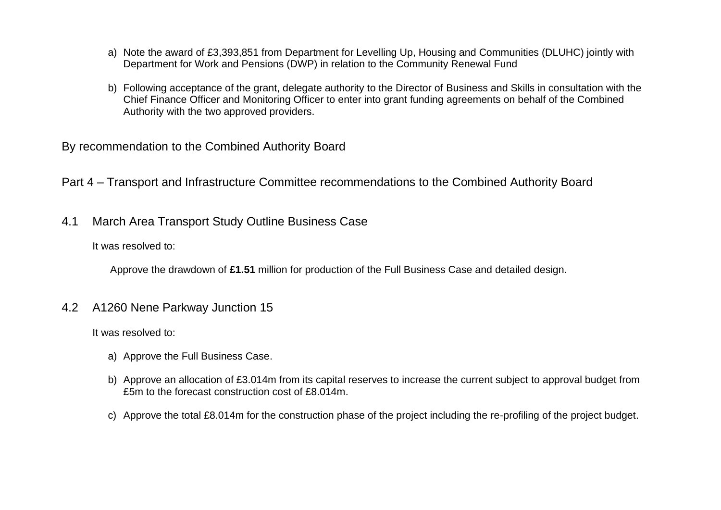- a) Note the award of £3,393,851 from Department for Levelling Up, Housing and Communities (DLUHC) jointly with Department for Work and Pensions (DWP) in relation to the Community Renewal Fund
- b) Following acceptance of the grant, delegate authority to the Director of Business and Skills in consultation with the Chief Finance Officer and Monitoring Officer to enter into grant funding agreements on behalf of the Combined Authority with the two approved providers.

By recommendation to the Combined Authority Board

Part 4 – Transport and Infrastructure Committee recommendations to the Combined Authority Board

4.1 March Area Transport Study Outline Business Case

It was resolved to:

Approve the drawdown of **£1.51** million for production of the Full Business Case and detailed design.

4.2 A1260 Nene Parkway Junction 15

It was resolved to:

- a) Approve the Full Business Case.
- b) Approve an allocation of £3.014m from its capital reserves to increase the current subject to approval budget from £5m to the forecast construction cost of £8.014m.
- c) Approve the total £8.014m for the construction phase of the project including the re-profiling of the project budget.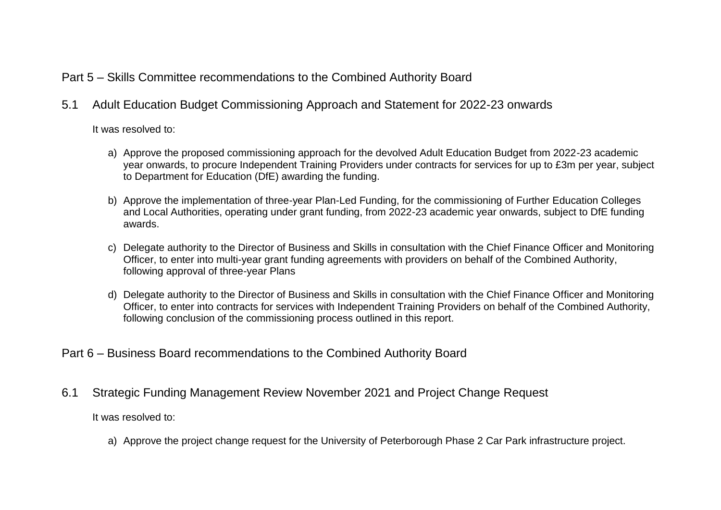## Part 5 – Skills Committee recommendations to the Combined Authority Board

5.1 Adult Education Budget Commissioning Approach and Statement for 2022-23 onwards

It was resolved to:

- a) Approve the proposed commissioning approach for the devolved Adult Education Budget from 2022-23 academic year onwards, to procure Independent Training Providers under contracts for services for up to £3m per year, subject to Department for Education (DfE) awarding the funding.
- b) Approve the implementation of three-year Plan-Led Funding, for the commissioning of Further Education Colleges and Local Authorities, operating under grant funding, from 2022-23 academic year onwards, subject to DfE funding awards.
- c) Delegate authority to the Director of Business and Skills in consultation with the Chief Finance Officer and Monitoring Officer, to enter into multi-year grant funding agreements with providers on behalf of the Combined Authority, following approval of three-year Plans
- d) Delegate authority to the Director of Business and Skills in consultation with the Chief Finance Officer and Monitoring Officer, to enter into contracts for services with Independent Training Providers on behalf of the Combined Authority, following conclusion of the commissioning process outlined in this report.
- Part 6 Business Board recommendations to the Combined Authority Board
- 6.1 Strategic Funding Management Review November 2021 and Project Change Request

It was resolved to:

a) Approve the project change request for the University of Peterborough Phase 2 Car Park infrastructure project.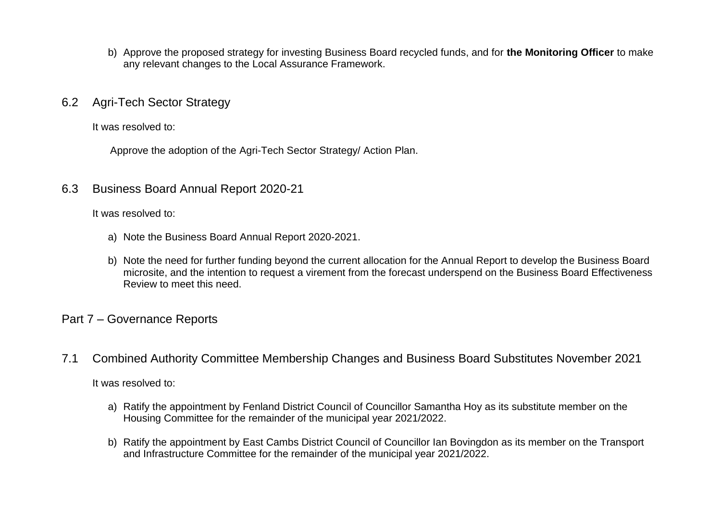- b) Approve the proposed strategy for investing Business Board recycled funds, and for **the Monitoring Officer** to make any relevant changes to the Local Assurance Framework.
- 6.2 Agri-Tech Sector Strategy

It was resolved to:

Approve the adoption of the Agri-Tech Sector Strategy/ Action Plan.

### 6.3 Business Board Annual Report 2020-21

It was resolved to:

- a) Note the Business Board Annual Report 2020-2021.
- b) Note the need for further funding beyond the current allocation for the Annual Report to develop the Business Board microsite, and the intention to request a virement from the forecast underspend on the Business Board Effectiveness Review to meet this need.

### Part 7 – Governance Reports

7.1 Combined Authority Committee Membership Changes and Business Board Substitutes November 2021

It was resolved to:

- a) Ratify the appointment by Fenland District Council of Councillor Samantha Hoy as its substitute member on the Housing Committee for the remainder of the municipal year 2021/2022.
- b) Ratify the appointment by East Cambs District Council of Councillor Ian Bovingdon as its member on the Transport and Infrastructure Committee for the remainder of the municipal year 2021/2022.